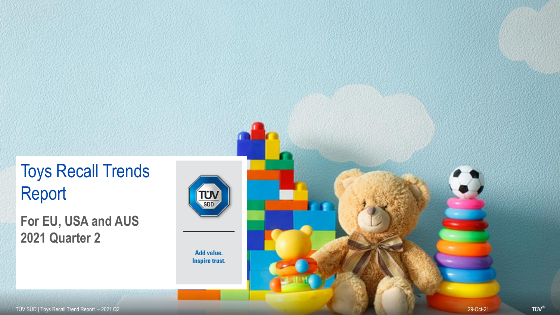# Toys Recall Trends Report

**For EU, USA and AUS 2021 Quarter 2**

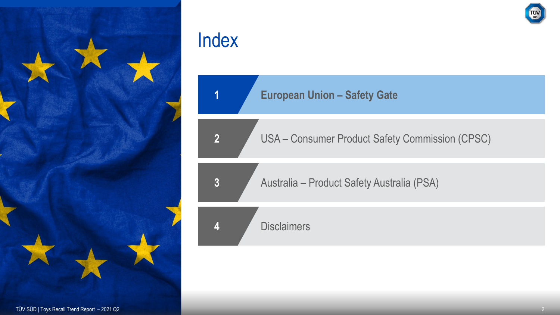

**European Union – Safety Gate**

USA – Consumer Product Safety Commission (CPSC)

Australia – Product Safety Australia (PSA)

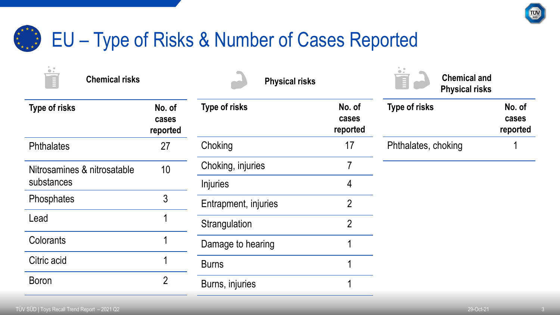

### EU – Type of Risks & Number of Cases Reported  $x + x + x$ <br>
\* \* \* \*

| $\bullet$ .<br>眉<br><b>Chemical risks</b> |                             | <b>Physical risks</b> |                             | . .<br><b>Chemical and</b><br>T<br><b>Physical risks</b> |                             |
|-------------------------------------------|-----------------------------|-----------------------|-----------------------------|----------------------------------------------------------|-----------------------------|
| Type of risks                             | No. of<br>cases<br>reported | <b>Type of risks</b>  | No. of<br>cases<br>reported | <b>Type of risks</b>                                     | No. of<br>cases<br>reported |
| <b>Phthalates</b>                         | 27                          | Choking               | 17                          | Phthalates, choking                                      |                             |
| Nitrosamines & nitrosatable               | 10                          | Choking, injuries     |                             |                                                          |                             |
| substances                                |                             | <b>Injuries</b>       | 4                           |                                                          |                             |
| Phosphates                                | 3                           | Entrapment, injuries  | $\overline{2}$              |                                                          |                             |
| Lead                                      |                             | Strangulation         | $\overline{2}$              |                                                          |                             |
| Colorants                                 |                             | Damage to hearing     |                             |                                                          |                             |
| Citric acid                               |                             | <b>Burns</b>          |                             |                                                          |                             |
| <b>Boron</b>                              | $\overline{2}$              | Burns, injuries       |                             |                                                          |                             |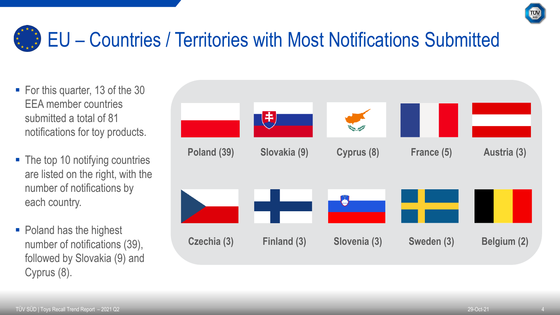

# EU – Countries / Territories with Most Notifications Submitted

- For this quarter, 13 of the 30 EEA member countries submitted a total of 81 notifications for toy products.
- The top 10 notifying countries are listed on the right, with the number of notifications by each country.
- Poland has the highest number of notifications (39), followed by Slovakia (9) and Cyprus (8).

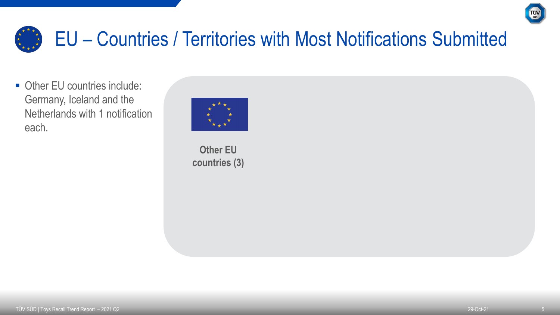

## EU – Countries / Territories with Most Notifications Submitted \* \* \*

■ Other EU countries include: Germany, Iceland and the Netherlands with 1 notification each.



**Other EU countries (3)**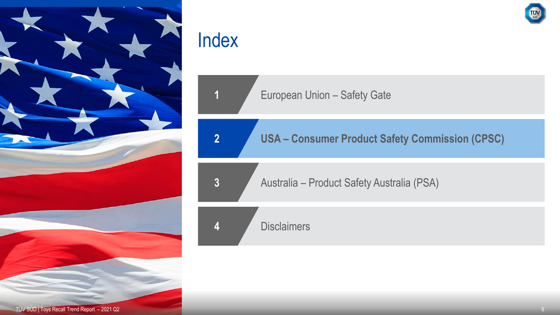

**European Union – Safety Gate** 

**2 USA – Consumer Product Safety Commission (CPSC)**

**3** Australia – Product Safety Australia (PSA)

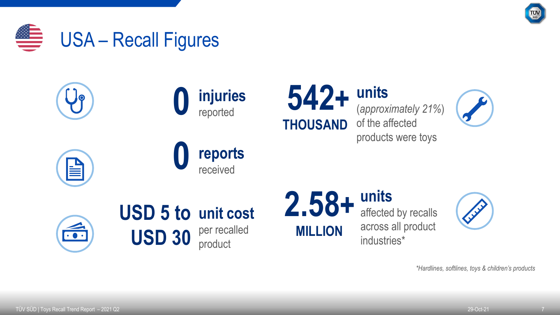





*\*Hardlines, softlines, toys & children's products*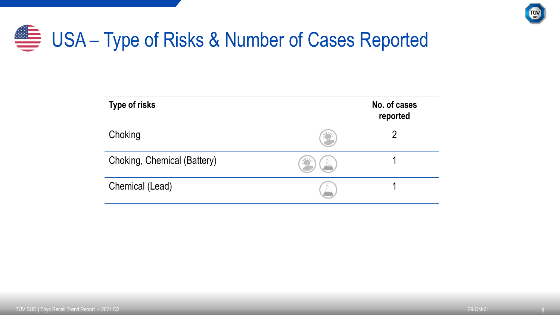

# USA – Type of Risks & Number of Cases Reported

| <b>Type of risks</b>        |              | No. of cases<br>reported |
|-----------------------------|--------------|--------------------------|
| Choking                     |              | ŋ                        |
| Choking, Chemical (Battery) | $\mathbb{R}$ |                          |
| Chemical (Lead)             | 囚            |                          |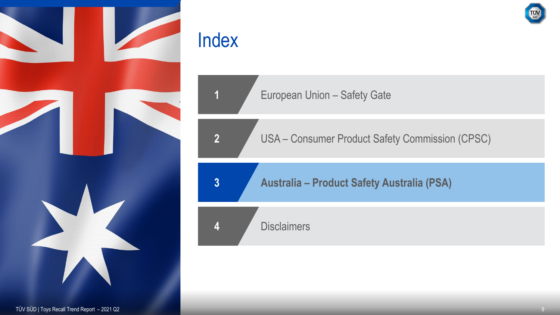

**European Union – Safety Gate** 

USA – Consumer Product Safety Commission (CPSC)

**Australia – Product Safety Australia (PSA)**

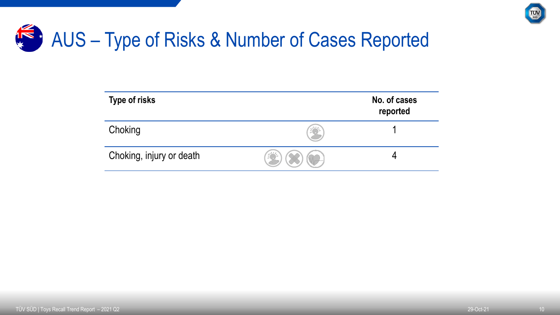

## K & AUS – Type of Risks & Number of Cases Reported

| <b>Type of risks</b>     | No. of cases<br>reported |
|--------------------------|--------------------------|
| Choking                  |                          |
| Choking, injury or death |                          |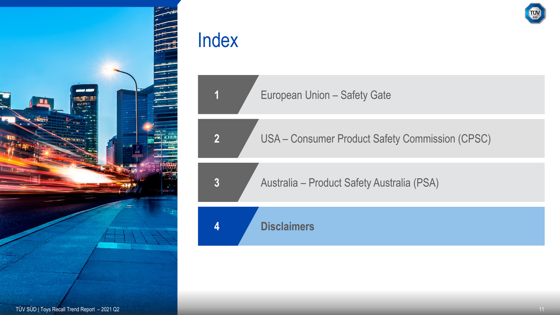

European Union – Safety Gate

USA – Consumer Product Safety Commission (CPSC)

Australia – Product Safety Australia (PSA)

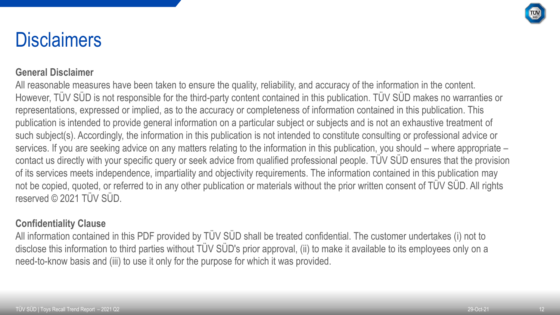

# **Disclaimers**

#### **General Disclaimer**

All reasonable measures have been taken to ensure the quality, reliability, and accuracy of the information in the content. However, TÜV SÜD is not responsible for the third-party content contained in this publication. TÜV SÜD makes no warranties or representations, expressed or implied, as to the accuracy or completeness of information contained in this publication. This publication is intended to provide general information on a particular subject or subjects and is not an exhaustive treatment of such subject(s). Accordingly, the information in this publication is not intended to constitute consulting or professional advice or services. If you are seeking advice on any matters relating to the information in this publication, you should – where appropriate – contact us directly with your specific query or seek advice from qualified professional people. TÜV SÜD ensures that the provision of its services meets independence, impartiality and objectivity requirements. The information contained in this publication may not be copied, quoted, or referred to in any other publication or materials without the prior written consent of TÜV SÜD. All rights reserved © 2021 TÜV SÜD.

### **Confidentiality Clause**

All information contained in this PDF provided by TÜV SÜD shall be treated confidential. The customer undertakes (i) not to disclose this information to third parties without TÜV SÜD's prior approval, (ii) to make it available to its employees only on a need-to-know basis and (iii) to use it only for the purpose for which it was provided.